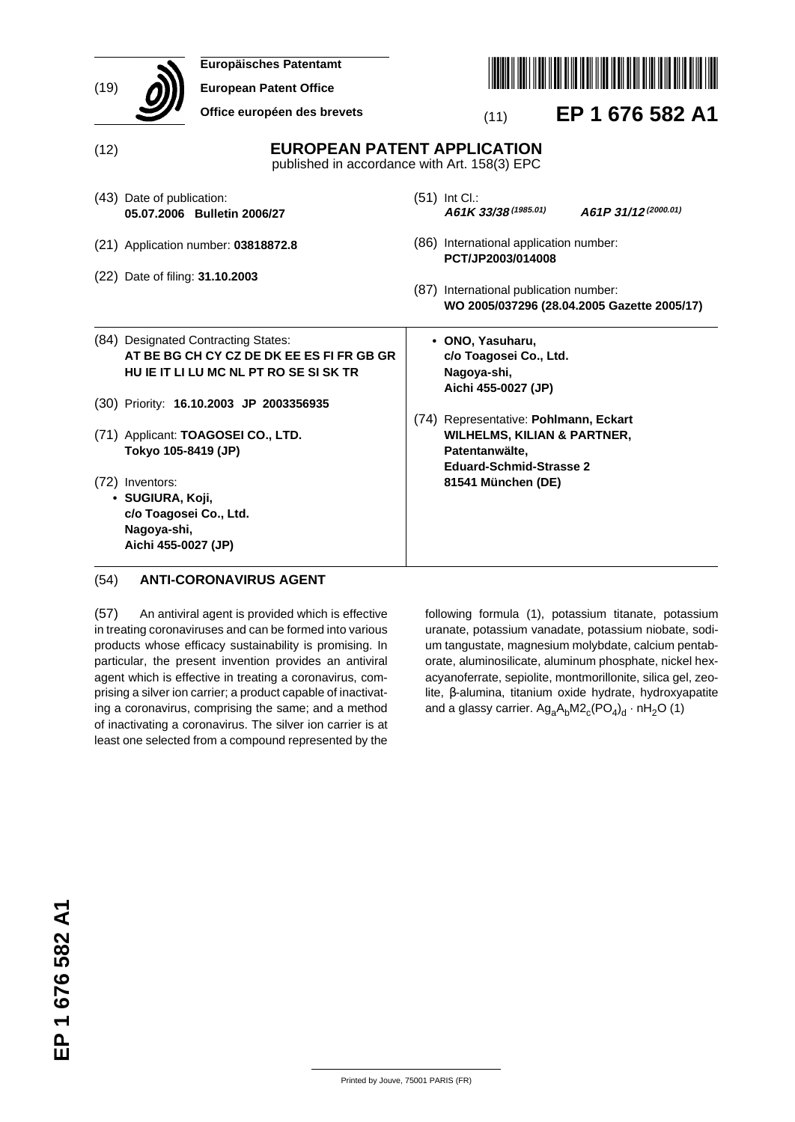| (19) | Europäisches Patentamt<br><b>European Patent Office</b><br>Office européen des brevets                                     | EP 1 676 582 A1<br>(11)                                                                                                             |  |  |
|------|----------------------------------------------------------------------------------------------------------------------------|-------------------------------------------------------------------------------------------------------------------------------------|--|--|
| (12) |                                                                                                                            | <b>EUROPEAN PATENT APPLICATION</b><br>published in accordance with Art. 158(3) EPC                                                  |  |  |
|      | (43) Date of publication:<br>05.07.2006 Bulletin 2006/27                                                                   | $(51)$ Int Cl.:<br>A61K 33/38 (1985.01)<br>A61P 31/12(2000.01)                                                                      |  |  |
|      | (21) Application number: 03818872.8                                                                                        | (86) International application number:<br>PCT/JP2003/014008                                                                         |  |  |
|      | (22) Date of filing: 31.10.2003                                                                                            | (87) International publication number:<br>WO 2005/037296 (28.04.2005 Gazette 2005/17)                                               |  |  |
|      | (84) Designated Contracting States:<br>AT BE BG CH CY CZ DE DK EE ES FI FR GB GR<br>HU IE IT LI LU MC NL PT RO SE SI SK TR | • ONO, Yasuharu,<br>c/o Toagosei Co., Ltd.<br>Nagoya-shi,<br>Aichi 455-0027 (JP)                                                    |  |  |
|      | (30) Priority: 16.10.2003 JP 2003356935                                                                                    |                                                                                                                                     |  |  |
|      | (71) Applicant: TOAGOSEI CO., LTD.<br>Tokyo 105-8419 (JP)                                                                  | (74) Representative: Pohlmann, Eckart<br><b>WILHELMS, KILIAN &amp; PARTNER,</b><br>Patentanwälte,<br><b>Eduard-Schmid-Strasse 2</b> |  |  |
|      | (72) Inventors:<br>· SUGIURA, Koji,<br>c/o Toagosei Co., Ltd.<br>Nagoya-shi,<br>Aichi 455-0027 (JP)                        | 81541 München (DE)                                                                                                                  |  |  |

# (54) **ANTI-CORONAVIRUS AGENT**

(57) An antiviral agent is provided which is effective in treating coronaviruses and can be formed into various products whose efficacy sustainability is promising. In particular, the present invention provides an antiviral agent which is effective in treating a coronavirus, comprising a silver ion carrier; a product capable of inactivating a coronavirus, comprising the same; and a method of inactivating a coronavirus. The silver ion carrier is at least one selected from a compound represented by the

following formula (1), potassium titanate, potassium uranate, potassium vanadate, potassium niobate, sodium tangustate, magnesium molybdate, calcium pentaborate, aluminosilicate, aluminum phosphate, nickel hexacyanoferrate, sepiolite, montmorillonite, silica gel, zeolite, β-alumina, titanium oxide hydrate, hydroxyapatite and a glassy carrier.  $Ag_aA_bM2_c(PO_4)_d \cdot nH_2O$  (1)

Printed by Jouve, 75001 PARIS (FR)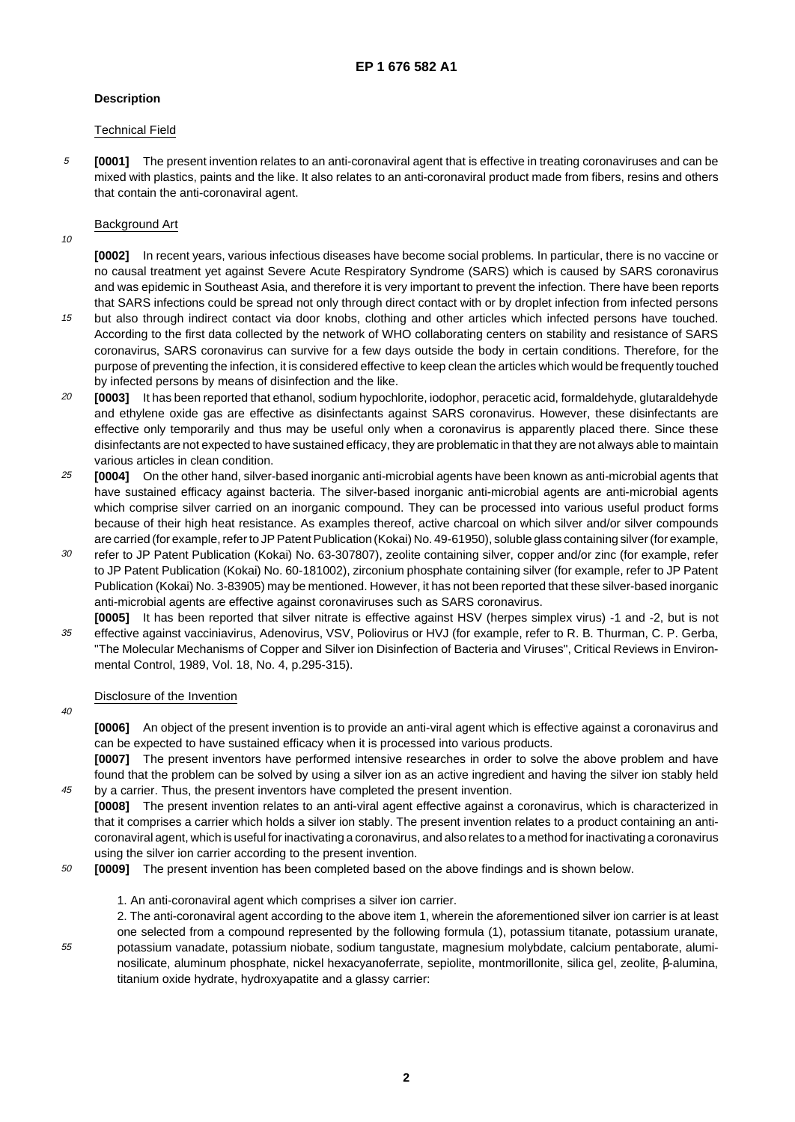# **Description**

# Technical Field

5 **[0001]** The present invention relates to an anti-coronaviral agent that is effective in treating coronaviruses and can be mixed with plastics, paints and the like. It also relates to an anti-coronaviral product made from fibers, resins and others that contain the anti-coronaviral agent.

# Background Art

10

**[0002]** In recent years, various infectious diseases have become social problems. In particular, there is no vaccine or no causal treatment yet against Severe Acute Respiratory Syndrome (SARS) which is caused by SARS coronavirus and was epidemic in Southeast Asia, and therefore it is very important to prevent the infection. There have been reports that SARS infections could be spread not only through direct contact with or by droplet infection from infected persons

- 15 but also through indirect contact via door knobs, clothing and other articles which infected persons have touched. According to the first data collected by the network of WHO collaborating centers on stability and resistance of SARS coronavirus, SARS coronavirus can survive for a few days outside the body in certain conditions. Therefore, for the purpose of preventing the infection, it is considered effective to keep clean the articles which would be frequently touched by infected persons by means of disinfection and the like.
- 20 **[0003]** It has been reported that ethanol, sodium hypochlorite, iodophor, peracetic acid, formaldehyde, glutaraldehyde and ethylene oxide gas are effective as disinfectants against SARS coronavirus. However, these disinfectants are effective only temporarily and thus may be useful only when a coronavirus is apparently placed there. Since these disinfectants are not expected to have sustained efficacy, they are problematic in that they are not always able to maintain various articles in clean condition.
- 25 **[0004]** On the other hand, silver-based inorganic anti-microbial agents have been known as anti-microbial agents that have sustained efficacy against bacteria. The silver-based inorganic anti-microbial agents are anti-microbial agents which comprise silver carried on an inorganic compound. They can be processed into various useful product forms because of their high heat resistance. As examples thereof, active charcoal on which silver and/or silver compounds are carried (for example, refer to JP Patent Publication (Kokai) No. 49-61950), soluble glass containing silver (for example,
- 30 refer to JP Patent Publication (Kokai) No. 63-307807), zeolite containing silver, copper and/or zinc (for example, refer to JP Patent Publication (Kokai) No. 60-181002), zirconium phosphate containing silver (for example, refer to JP Patent Publication (Kokai) No. 3-83905) may be mentioned. However, it has not been reported that these silver-based inorganic anti-microbial agents are effective against coronaviruses such as SARS coronavirus.
- 35 **[0005]** It has been reported that silver nitrate is effective against HSV (herpes simplex virus) -1 and -2, but is not effective against vacciniavirus, Adenovirus, VSV, Poliovirus or HVJ (for example, refer to R. B. Thurman, C. P. Gerba, "The Molecular Mechanisms of Copper and Silver ion Disinfection of Bacteria and Viruses", Critical Reviews in Environmental Control, 1989, Vol. 18, No. 4, p.295-315).

# Disclosure of the Invention

 $40$ 

45

55

**[0006]** An object of the present invention is to provide an anti-viral agent which is effective against a coronavirus and can be expected to have sustained efficacy when it is processed into various products.

**[0007]** The present inventors have performed intensive researches in order to solve the above problem and have found that the problem can be solved by using a silver ion as an active ingredient and having the silver ion stably held by a carrier. Thus, the present inventors have completed the present invention.

**[0008]** The present invention relates to an anti-viral agent effective against a coronavirus, which is characterized in that it comprises a carrier which holds a silver ion stably. The present invention relates to a product containing an anticoronaviral agent, which is useful for inactivating a coronavirus, and also relates to a method for inactivating a coronavirus using the silver ion carrier according to the present invention.

- 50 **[0009]** The present invention has been completed based on the above findings and is shown below.
	- 1. An anti-coronaviral agent which comprises a silver ion carrier.

2. The anti-coronaviral agent according to the above item 1, wherein the aforementioned silver ion carrier is at least one selected from a compound represented by the following formula (1), potassium titanate, potassium uranate, potassium vanadate, potassium niobate, sodium tangustate, magnesium molybdate, calcium pentaborate, aluminosilicate, aluminum phosphate, nickel hexacyanoferrate, sepiolite, montmorillonite, silica gel, zeolite, β-alumina, titanium oxide hydrate, hydroxyapatite and a glassy carrier: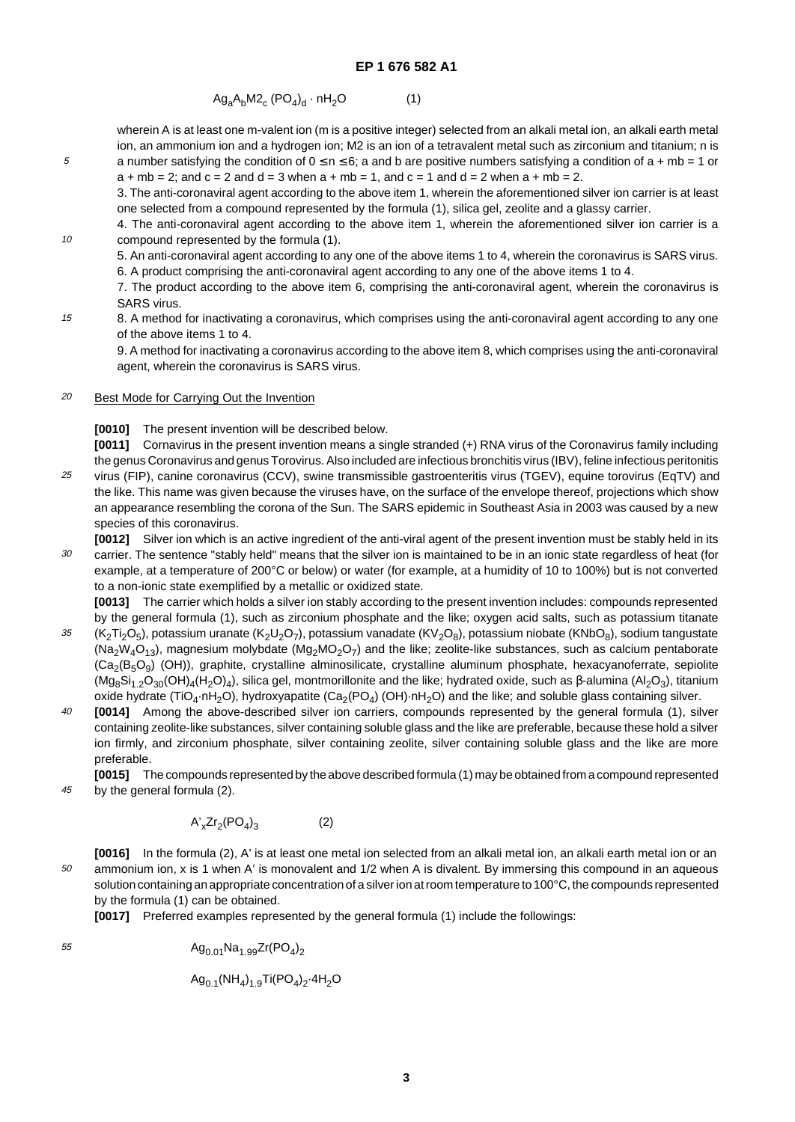$$
Ag_aA_bM2_c (PO_4)_d \cdot nH_2O \tag{1}
$$

wherein A is at least one m-valent ion (m is a positive integer) selected from an alkali metal ion, an alkali earth metal ion, an ammonium ion and a hydrogen ion; M2 is an ion of a tetravalent metal such as zirconium and titanium; n is a number satisfying the condition of  $0 \le n \le 6$ ; a and b are positive numbers satisfying a condition of a + mb = 1 or  $a + mb = 2$ ; and  $c = 2$  and  $d = 3$  when  $a + mb = 1$ , and  $c = 1$  and  $d = 2$  when  $a + mb = 2$ .

3. The anti-coronaviral agent according to the above item 1, wherein the aforementioned silver ion carrier is at least one selected from a compound represented by the formula (1), silica gel, zeolite and a glassy carrier.

4. The anti-coronaviral agent according to the above item 1, wherein the aforementioned silver ion carrier is a compound represented by the formula (1).

5. An anti-coronaviral agent according to any one of the above items 1 to 4, wherein the coronavirus is SARS virus. 6. A product comprising the anti-coronaviral agent according to any one of the above items 1 to 4.

7. The product according to the above item 6, comprising the anti-coronaviral agent, wherein the coronavirus is SARS virus.

15 8. A method for inactivating a coronavirus, which comprises using the anti-coronaviral agent according to any one of the above items 1 to 4.

9. A method for inactivating a coronavirus according to the above item 8, which comprises using the anti-coronaviral agent, wherein the coronavirus is SARS virus.

#### 20 Best Mode for Carrying Out the Invention

**[0010]** The present invention will be described below.

**[0011]** Cornavirus in the present invention means a single stranded (+) RNA virus of the Coronavirus family including the genus Coronavirus and genus Torovirus. Also included are infectious bronchitis virus (IBV), feline infectious peritonitis virus (FIP), canine coronavirus (CCV), swine transmissible gastroenteritis virus (TGEV), equine torovirus (EqTV) and

- 25 the like. This name was given because the viruses have, on the surface of the envelope thereof, projections which show an appearance resembling the corona of the Sun. The SARS epidemic in Southeast Asia in 2003 was caused by a new species of this coronavirus.
- 30 **[0012]** Silver ion which is an active ingredient of the anti-viral agent of the present invention must be stably held in its carrier. The sentence "stably held" means that the silver ion is maintained to be in an ionic state regardless of heat (for example, at a temperature of 200°C or below) or water (for example, at a humidity of 10 to 100%) but is not converted to a non-ionic state exemplified by a metallic or oxidized state.

**[0013]** The carrier which holds a silver ion stably according to the present invention includes: compounds represented by the general formula (1), such as zirconium phosphate and the like; oxygen acid salts, such as potassium titanate

- 35 (K<sub>2</sub>Ti<sub>2</sub>O<sub>5</sub>), potassium uranate (K<sub>2</sub>U<sub>2</sub>O<sub>7</sub>), potassium vanadate (KV<sub>2</sub>O<sub>8</sub>), potassium niobate (KNbO<sub>8</sub>), sodium tangustate  $(Na_2W_4O_{13})$ , magnesium molybdate  $(Mg_2MO_2O_7)$  and the like; zeolite-like substances, such as calcium pentaborate  $(Ca<sub>2</sub>(B<sub>5</sub>O<sub>9</sub>)$  (OH)), graphite, crystalline alminosilicate, crystalline aluminum phosphate, hexacyanoferrate, sepiolite (Mg<sub>8</sub>Si<sub>1.2</sub>O<sub>30</sub>(OH)<sub>4</sub>(H<sub>2</sub>O)<sub>4</sub>), silica gel, montmorillonite and the like; hydrated oxide, such as β-alumina (Al<sub>2</sub>O<sub>3</sub>), titanium oxide hydrate (TiO<sub>4</sub>·nH<sub>2</sub>O), hydroxyapatite (Ca<sub>2</sub>(PO<sub>4</sub>) (OH)·nH<sub>2</sub>O) and the like; and soluble glass containing silver.
- $40$ **[0014]** Among the above-described silver ion carriers, compounds represented by the general formula (1), silver containing zeolite-like substances, silver containing soluble glass and the like are preferable, because these hold a silver ion firmly, and zirconium phosphate, silver containing zeolite, silver containing soluble glass and the like are more preferable.
- 45 **[0015]** The compounds represented by the above described formula (1) may be obtained from a compound represented by the general formula (2).

$$
A'_x Zr_2 (PO_4)_3 \tag{2}
$$

50 **[0016]** In the formula (2), A' is at least one metal ion selected from an alkali metal ion, an alkali earth metal ion or an ammonium ion, x is 1 when A' is monovalent and 1/2 when A is divalent. By immersing this compound in an aqueous solution containing an appropriate concentration of a silver ion at room temperature to 100°C, the compounds represented by the formula (1) can be obtained.

**[0017]** Preferred examples represented by the general formula (1) include the followings:

55

5

10

$$
Ag_{0.01}Na_{1.99}Zr(PO_4)_2
$$

 $Ag_{0.1}(NH_4)_{1.9}Ti(PO_4)_2.4H_2O$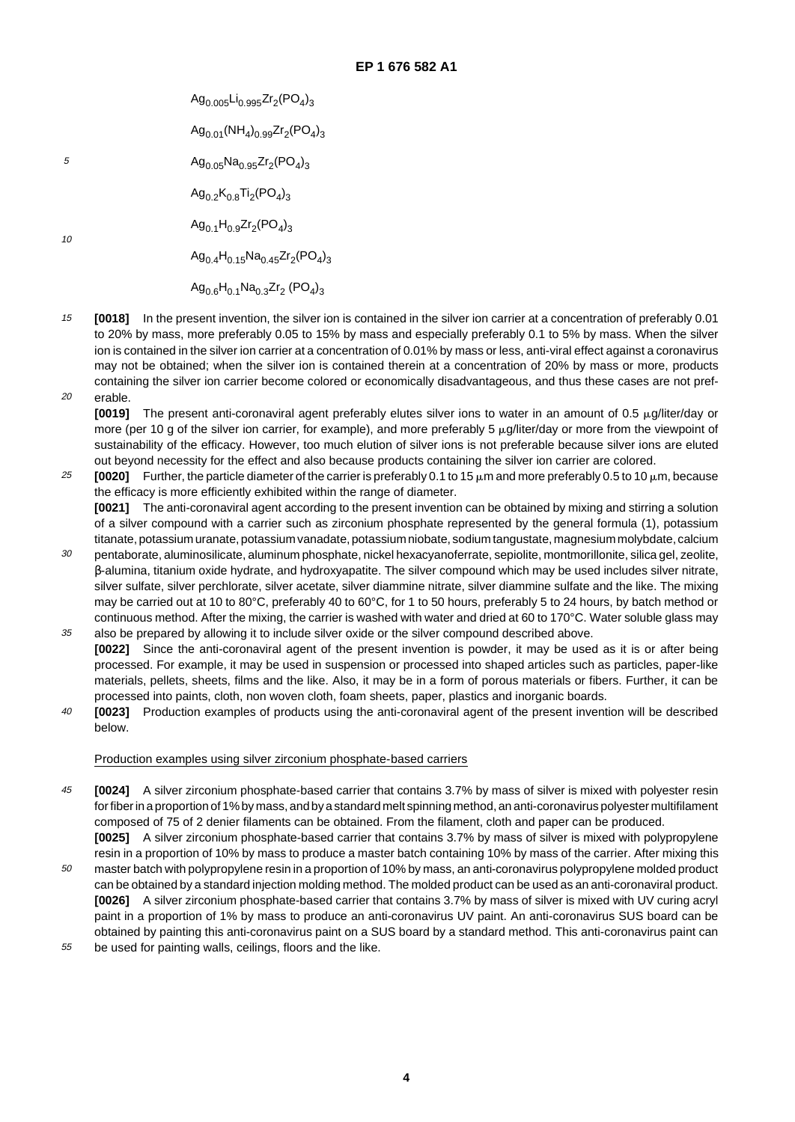5 10  $Ag_{0.005}Li_{0.995}Zr_{2}(PO_{4})_{3}$  $Ag_{0.01}(NH<sub>4</sub>)_{0.99}Zr<sub>2</sub>(PO<sub>4</sub>)_{3}$  $Ag_{0.05}Na_{0.95}Zr_{2}(PO_{4})_{3}$  $Ag_{0.2}K_{0.8}Ti_{2}(PO_{4})_{3}$  $Ag_{0.1}H_{0.9}Zr_2(PO_4)_{3}$  $Ag_{0.4}H_{0.15}Na_{0.45}Zr_2(PO_4)_{3}$  $Ag<sub>0.6</sub>H<sub>0.1</sub>Na<sub>0.3</sub>Zr<sub>2</sub> (PO<sub>4</sub>)<sub>3</sub>$ 

15 20 **[0018]** In the present invention, the silver ion is contained in the silver ion carrier at a concentration of preferably 0.01 to 20% by mass, more preferably 0.05 to 15% by mass and especially preferably 0.1 to 5% by mass. When the silver ion is contained in the silver ion carrier at a concentration of 0.01% by mass or less, anti-viral effect against a coronavirus may not be obtained; when the silver ion is contained therein at a concentration of 20% by mass or more, products containing the silver ion carrier become colored or economically disadvantageous, and thus these cases are not preferable.

**[0019]** The present anti-coronaviral agent preferably elutes silver ions to water in an amount of 0.5 μg/liter/day or more (per 10 g of the silver ion carrier, for example), and more preferably 5  $\mu$ g/liter/day or more from the viewpoint of sustainability of the efficacy. However, too much elution of silver ions is not preferable because silver ions are eluted out beyond necessity for the effect and also because products containing the silver ion carrier are colored.

- 25 **[0020]** Further, the particle diameter of the carrier is preferably 0.1 to 15  $\mu$ m and more preferably 0.5 to 10  $\mu$ m, because the efficacy is more efficiently exhibited within the range of diameter. **[0021]** The anti-coronaviral agent according to the present invention can be obtained by mixing and stirring a solution of a silver compound with a carrier such as zirconium phosphate represented by the general formula (1), potassium titanate, potassium uranate, potassium vanadate, potassium niobate, sodium tangustate, magnesium molybdate, calcium
- 30 pentaborate, aluminosilicate, aluminum phosphate, nickel hexacyanoferrate, sepiolite, montmorillonite, silica gel, zeolite, β-alumina, titanium oxide hydrate, and hydroxyapatite. The silver compound which may be used includes silver nitrate, silver sulfate, silver perchlorate, silver acetate, silver diammine nitrate, silver diammine sulfate and the like. The mixing may be carried out at 10 to 80°C, preferably 40 to 60°C, for 1 to 50 hours, preferably 5 to 24 hours, by batch method or continuous method. After the mixing, the carrier is washed with water and dried at 60 to 170°C. Water soluble glass may
- 35 also be prepared by allowing it to include silver oxide or the silver compound described above. **[0022]** Since the anti-coronaviral agent of the present invention is powder, it may be used as it is or after being processed. For example, it may be used in suspension or processed into shaped articles such as particles, paper-like materials, pellets, sheets, films and the like. Also, it may be in a form of porous materials or fibers. Further, it can be processed into paints, cloth, non woven cloth, foam sheets, paper, plastics and inorganic boards.
- $\overline{40}$ **[0023]** Production examples of products using the anti-coronaviral agent of the present invention will be described below.

# Production examples using silver zirconium phosphate-based carriers

- 45 **[0024]** A silver zirconium phosphate-based carrier that contains 3.7% by mass of silver is mixed with polyester resin for fiber in a proportion of 1% by mass, and by a standard melt spinning method, an anti-coronavirus polyester multifilament composed of 75 of 2 denier filaments can be obtained. From the filament, cloth and paper can be produced. **[0025]** A silver zirconium phosphate-based carrier that contains 3.7% by mass of silver is mixed with polypropylene
- 50 resin in a proportion of 10% by mass to produce a master batch containing 10% by mass of the carrier. After mixing this master batch with polypropylene resin in a proportion of 10% by mass, an anti-coronavirus polypropylene molded product can be obtained by a standard injection molding method. The molded product can be used as an anti-coronaviral product. **[0026]** A silver zirconium phosphate-based carrier that contains 3.7% by mass of silver is mixed with UV curing acryl paint in a proportion of 1% by mass to produce an anti-coronavirus UV paint. An anti-coronavirus SUS board can be obtained by painting this anti-coronavirus paint on a SUS board by a standard method. This anti-coronavirus paint can
- 55 be used for painting walls, ceilings, floors and the like.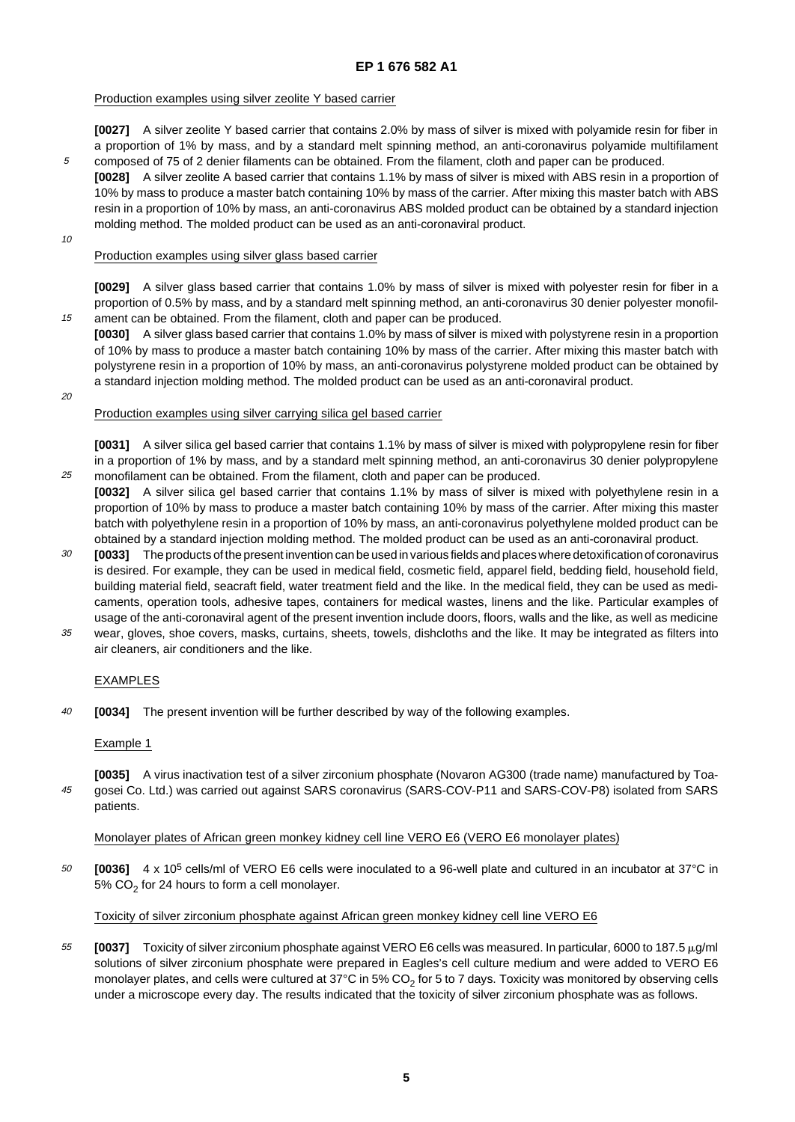## Production examples using silver zeolite Y based carrier

**[0027]** A silver zeolite Y based carrier that contains 2.0% by mass of silver is mixed with polyamide resin for fiber in a proportion of 1% by mass, and by a standard melt spinning method, an anti-coronavirus polyamide multifilament composed of 75 of 2 denier filaments can be obtained. From the filament, cloth and paper can be produced.

- **[0028]** A silver zeolite A based carrier that contains 1.1% by mass of silver is mixed with ABS resin in a proportion of 10% by mass to produce a master batch containing 10% by mass of the carrier. After mixing this master batch with ABS resin in a proportion of 10% by mass, an anti-coronavirus ABS molded product can be obtained by a standard injection molding method. The molded product can be used as an anti-coronaviral product.
- 10

15

5

### Production examples using silver glass based carrier

**[0029]** A silver glass based carrier that contains 1.0% by mass of silver is mixed with polyester resin for fiber in a proportion of 0.5% by mass, and by a standard melt spinning method, an anti-coronavirus 30 denier polyester monofilament can be obtained. From the filament, cloth and paper can be produced.

**[0030]** A silver glass based carrier that contains 1.0% by mass of silver is mixed with polystyrene resin in a proportion of 10% by mass to produce a master batch containing 10% by mass of the carrier. After mixing this master batch with polystyrene resin in a proportion of 10% by mass, an anti-coronavirus polystyrene molded product can be obtained by a standard injection molding method. The molded product can be used as an anti-coronaviral product.

20

25

#### Production examples using silver carrying silica gel based carrier

**[0031]** A silver silica gel based carrier that contains 1.1% by mass of silver is mixed with polypropylene resin for fiber in a proportion of 1% by mass, and by a standard melt spinning method, an anti-coronavirus 30 denier polypropylene monofilament can be obtained. From the filament, cloth and paper can be produced.

- **[0032]** A silver silica gel based carrier that contains 1.1% by mass of silver is mixed with polyethylene resin in a proportion of 10% by mass to produce a master batch containing 10% by mass of the carrier. After mixing this master batch with polyethylene resin in a proportion of 10% by mass, an anti-coronavirus polyethylene molded product can be obtained by a standard injection molding method. The molded product can be used as an anti-coronaviral product.
- 30 **[0033]** The products of the present invention can be used in various fields and places where detoxification of coronavirus is desired. For example, they can be used in medical field, cosmetic field, apparel field, bedding field, household field, building material field, seacraft field, water treatment field and the like. In the medical field, they can be used as medicaments, operation tools, adhesive tapes, containers for medical wastes, linens and the like. Particular examples of usage of the anti-coronaviral agent of the present invention include doors, floors, walls and the like, as well as medicine
- 35 wear, gloves, shoe covers, masks, curtains, sheets, towels, dishcloths and the like. It may be integrated as filters into air cleaners, air conditioners and the like.

# EXAMPLES

 $40$ **[0034]** The present invention will be further described by way of the following examples.

#### Example 1

45 **[0035]** A virus inactivation test of a silver zirconium phosphate (Novaron AG300 (trade name) manufactured by Toagosei Co. Ltd.) was carried out against SARS coronavirus (SARS-COV-P11 and SARS-COV-P8) isolated from SARS patients.

#### Monolayer plates of African green monkey kidney cell line VERO E6 (VERO E6 monolayer plates)

50 **[0036]** 4 x 105 cells/ml of VERO E6 cells were inoculated to a 96-well plate and cultured in an incubator at 37°C in 5%  $CO<sub>2</sub>$  for 24 hours to form a cell monolayer.

# Toxicity of silver zirconium phosphate against African green monkey kidney cell line VERO E6

55 **[0037]** Toxicity of silver zirconium phosphate against VERO E6 cells was measured. In particular, 6000 to 187.5 μg/ml solutions of silver zirconium phosphate were prepared in Eagles's cell culture medium and were added to VERO E6 monolayer plates, and cells were cultured at  $37^{\circ}$ C in 5% CO<sub>2</sub> for 5 to 7 days. Toxicity was monitored by observing cells under a microscope every day. The results indicated that the toxicity of silver zirconium phosphate was as follows.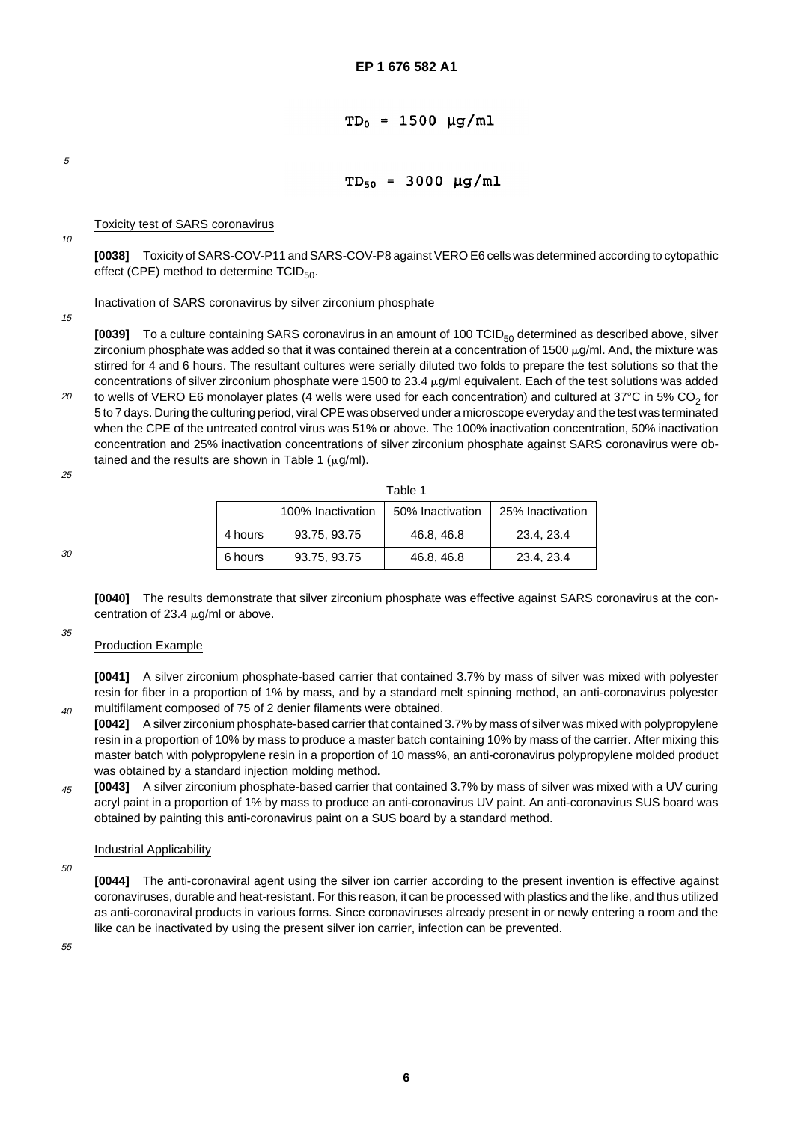# $TD_0 = 1500 \mu g/ml$

5

# $TD_{50} = 3000 \mu g/ml$

Toxicity test of SARS coronavirus

10

**[0038]** Toxicity of SARS-COV-P11 and SARS-COV-P8 against VERO E6 cells was determined according to cytopathic effect (CPE) method to determine  $TCID_{50}$ .

#### Inactivation of SARS coronavirus by silver zirconium phosphate

15

**[0039]** To a culture containing SARS coronavirus in an amount of 100 TCID<sub>50</sub> determined as described above, silver zirconium phosphate was added so that it was contained therein at a concentration of 1500  $\mu$ g/ml. And, the mixture was stirred for 4 and 6 hours. The resultant cultures were serially diluted two folds to prepare the test solutions so that the concentrations of silver zirconium phosphate were 1500 to 23.4  $\mu$ g/ml equivalent. Each of the test solutions was added

20 to wells of VERO E6 monolayer plates (4 wells were used for each concentration) and cultured at  $37^{\circ}$ C in 5% CO<sub>2</sub> for 5 to 7 days. During the culturing period, viral CPE was observed under a microscope everyday and the test was terminated when the CPE of the untreated control virus was 51% or above. The 100% inactivation concentration, 50% inactivation concentration and 25% inactivation concentrations of silver zirconium phosphate against SARS coronavirus were obtained and the results are shown in Table 1 ( $\mu$ g/ml).

25

| Table 1 |                   |                  |                  |  |  |
|---------|-------------------|------------------|------------------|--|--|
|         | 100% Inactivation | 50% Inactivation | 25% Inactivation |  |  |
| 4 hours | 93.75, 93.75      | 46.8, 46.8       | 23.4, 23.4       |  |  |
| 6 hours | 93.75, 93.75      | 46.8, 46.8       | 23.4, 23.4       |  |  |

30

35

 $40$ 

**[0040]** The results demonstrate that silver zirconium phosphate was effective against SARS coronavirus at the concentration of 23.4  $\mu$ g/ml or above.

# Production Example

**[0041]** A silver zirconium phosphate-based carrier that contained 3.7% by mass of silver was mixed with polyester resin for fiber in a proportion of 1% by mass, and by a standard melt spinning method, an anti-coronavirus polyester multifilament composed of 75 of 2 denier filaments were obtained.

- **[0042]** A silver zirconium phosphate-based carrier that contained 3.7% by mass of silver was mixed with polypropylene resin in a proportion of 10% by mass to produce a master batch containing 10% by mass of the carrier. After mixing this master batch with polypropylene resin in a proportion of 10 mass%, an anti-coronavirus polypropylene molded product was obtained by a standard injection molding method.
- 45 **[0043]** A silver zirconium phosphate-based carrier that contained 3.7% by mass of silver was mixed with a UV curing acryl paint in a proportion of 1% by mass to produce an anti-coronavirus UV paint. An anti-coronavirus SUS board was obtained by painting this anti-coronavirus paint on a SUS board by a standard method.

# Industrial Applicability

50

**[0044]** The anti-coronaviral agent using the silver ion carrier according to the present invention is effective against coronaviruses, durable and heat-resistant. For this reason, it can be processed with plastics and the like, and thus utilized as anti-coronaviral products in various forms. Since coronaviruses already present in or newly entering a room and the like can be inactivated by using the present silver ion carrier, infection can be prevented.

55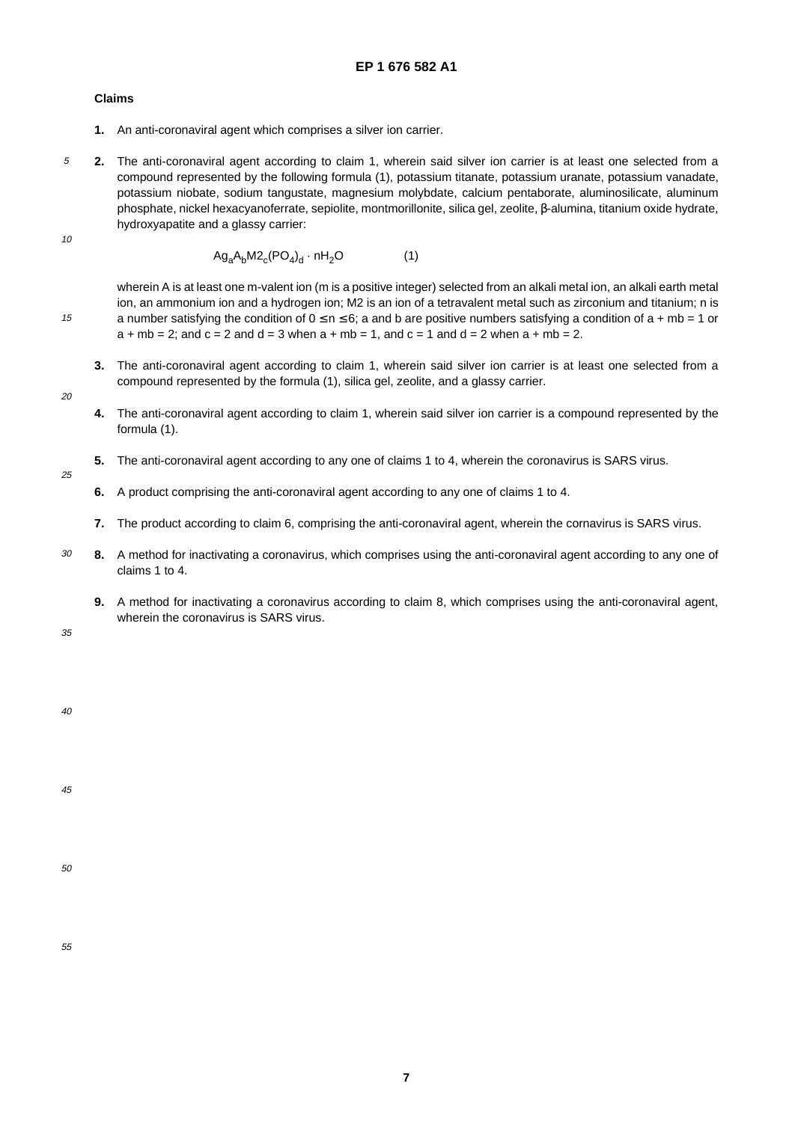### **Claims**

- **1.** An anti-coronaviral agent which comprises a silver ion carrier.
- 5 **2.** The anti-coronaviral agent according to claim 1, wherein said silver ion carrier is at least one selected from a compound represented by the following formula (1), potassium titanate, potassium uranate, potassium vanadate, potassium niobate, sodium tangustate, magnesium molybdate, calcium pentaborate, aluminosilicate, aluminum phosphate, nickel hexacyanoferrate, sepiolite, montmorillonite, silica gel, zeolite, β-alumina, titanium oxide hydrate, hydroxyapatite and a glassy carrier:
- 10

15

$$
Ag_aA_bM2_c(PO_4)_d \cdot nH_2O \tag{1}
$$

wherein A is at least one m-valent ion (m is a positive integer) selected from an alkali metal ion, an alkali earth metal ion, an ammonium ion and a hydrogen ion; M2 is an ion of a tetravalent metal such as zirconium and titanium; n is a number satisfying the condition of  $0 \le n \le 6$ ; a and b are positive numbers satisfying a condition of a + mb = 1 or  $a + mb = 2$ ; and  $c = 2$  and  $d = 3$  when  $a + mb = 1$ , and  $c = 1$  and  $d = 2$  when  $a + mb = 2$ .

- **3.** The anti-coronaviral agent according to claim 1, wherein said silver ion carrier is at least one selected from a compound represented by the formula (1), silica gel, zeolite, and a glassy carrier.
- 20
- **4.** The anti-coronaviral agent according to claim 1, wherein said silver ion carrier is a compound represented by the formula (1).
- **5.** The anti-coronaviral agent according to any one of claims 1 to 4, wherein the coronavirus is SARS virus.

25

- **6.** A product comprising the anti-coronaviral agent according to any one of claims 1 to 4.
- **7.** The product according to claim 6, comprising the anti-coronaviral agent, wherein the cornavirus is SARS virus.
- 30 **8.** A method for inactivating a coronavirus, which comprises using the anti-coronaviral agent according to any one of claims 1 to 4.
	- **9.** A method for inactivating a coronavirus according to claim 8, which comprises using the anti-coronaviral agent, wherein the coronavirus is SARS virus.

35

40

45

50

55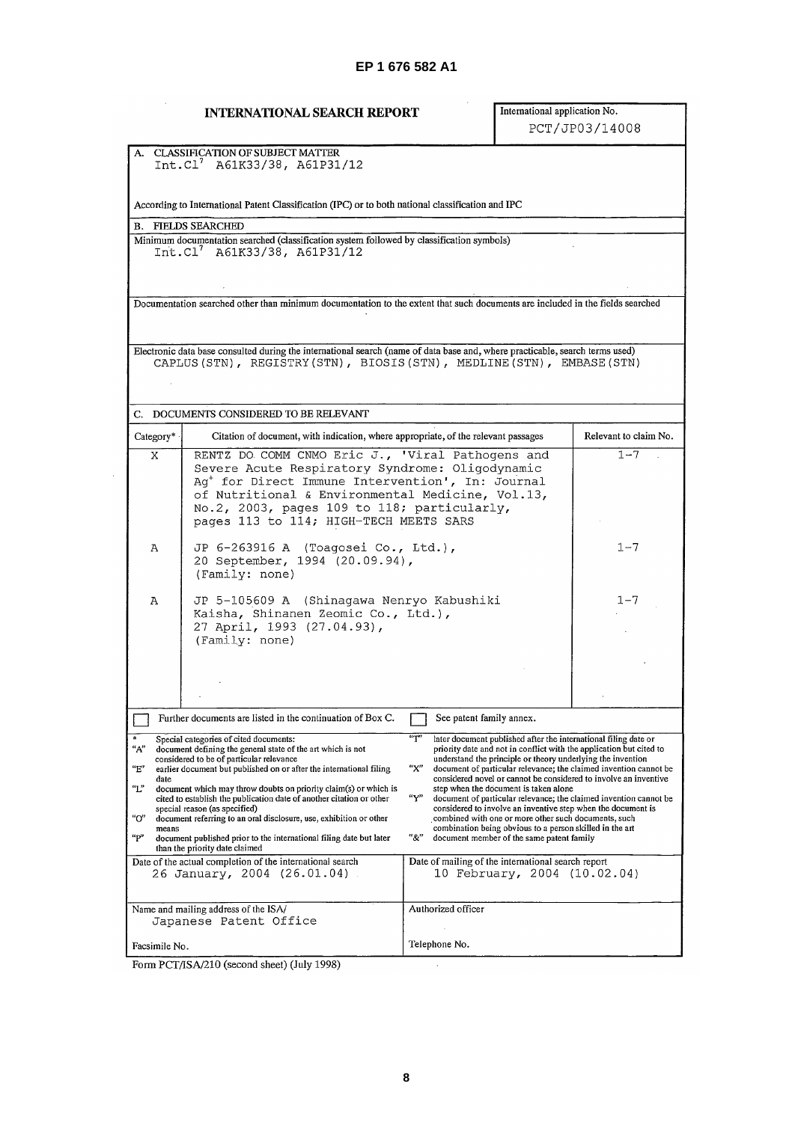# **INTERNATIONAL SEARCH REPORT**

 $\mathcal{L}$ 

# International application No. PCT/JP03/14008

| A. CLASSIFICATION OF SUBJECT MATTER<br>$Int.C1^7$ A61K33/38, A61P31/12 |                                                                                                                                                                                                                                                                                                                                                                                                                                                                                                                                                                                      |                                                                                                                                                                                                                                                                                                                                                                                                                                                                                                                                                                                                                                                                                                                                       |                       |  |  |  |  |
|------------------------------------------------------------------------|--------------------------------------------------------------------------------------------------------------------------------------------------------------------------------------------------------------------------------------------------------------------------------------------------------------------------------------------------------------------------------------------------------------------------------------------------------------------------------------------------------------------------------------------------------------------------------------|---------------------------------------------------------------------------------------------------------------------------------------------------------------------------------------------------------------------------------------------------------------------------------------------------------------------------------------------------------------------------------------------------------------------------------------------------------------------------------------------------------------------------------------------------------------------------------------------------------------------------------------------------------------------------------------------------------------------------------------|-----------------------|--|--|--|--|
|                                                                        | According to International Patent Classification (IPC) or to both national classification and IPC                                                                                                                                                                                                                                                                                                                                                                                                                                                                                    |                                                                                                                                                                                                                                                                                                                                                                                                                                                                                                                                                                                                                                                                                                                                       |                       |  |  |  |  |
|                                                                        | <b>B. FIELDS SEARCHED</b>                                                                                                                                                                                                                                                                                                                                                                                                                                                                                                                                                            |                                                                                                                                                                                                                                                                                                                                                                                                                                                                                                                                                                                                                                                                                                                                       |                       |  |  |  |  |
|                                                                        | Minimum documentation searched (classification system followed by classification symbols)<br>Int.Cl <sup>7</sup> A61K33/38, A61P31/12                                                                                                                                                                                                                                                                                                                                                                                                                                                |                                                                                                                                                                                                                                                                                                                                                                                                                                                                                                                                                                                                                                                                                                                                       |                       |  |  |  |  |
|                                                                        | Documentation searched other than minimum documentation to the extent that such documents are included in the fields searched                                                                                                                                                                                                                                                                                                                                                                                                                                                        |                                                                                                                                                                                                                                                                                                                                                                                                                                                                                                                                                                                                                                                                                                                                       |                       |  |  |  |  |
|                                                                        | Electronic data base consulted during the international search (name of data base and, where practicable, search terms used)<br>CAPLUS (STN), REGISTRY (STN), BIOSIS (STN), MEDLINE (STN), EMBASE (STN)                                                                                                                                                                                                                                                                                                                                                                              |                                                                                                                                                                                                                                                                                                                                                                                                                                                                                                                                                                                                                                                                                                                                       |                       |  |  |  |  |
|                                                                        | C. DOCUMENTS CONSIDERED TO BE RELEVANT                                                                                                                                                                                                                                                                                                                                                                                                                                                                                                                                               |                                                                                                                                                                                                                                                                                                                                                                                                                                                                                                                                                                                                                                                                                                                                       |                       |  |  |  |  |
| Category*                                                              | Citation of document, with indication, where appropriate, of the relevant passages                                                                                                                                                                                                                                                                                                                                                                                                                                                                                                   |                                                                                                                                                                                                                                                                                                                                                                                                                                                                                                                                                                                                                                                                                                                                       | Relevant to claim No. |  |  |  |  |
| Χ                                                                      | RENTZ DO COMM CNMO Eric J., 'Viral Pathogens and<br>Severe Acute Respiratory Syndrome: Oligodynamic<br>Ag <sup>+</sup> for Direct Immune Intervention', In: Journal<br>of Nutritional & Environmental Medicine, Vol.13,<br>No.2, 2003, pages 109 to 118; particularly,<br>pages 113 to 114; HIGH-TECH MEETS SARS                                                                                                                                                                                                                                                                     |                                                                                                                                                                                                                                                                                                                                                                                                                                                                                                                                                                                                                                                                                                                                       | $1 - 7$               |  |  |  |  |
| Α                                                                      | JP 6-263916 A (Toagosei Co., Ltd.),<br>20 September, 1994 (20.09.94),<br>(Family: none)                                                                                                                                                                                                                                                                                                                                                                                                                                                                                              |                                                                                                                                                                                                                                                                                                                                                                                                                                                                                                                                                                                                                                                                                                                                       | $1 - 7$               |  |  |  |  |
| Α                                                                      | JP 5-105609 A (Shinagawa Nenryo Kabushiki<br>Kaisha, Shinanen Zeomic Co., Ltd.),<br>27 April, 1993 (27.04.93),<br>(Family: none)                                                                                                                                                                                                                                                                                                                                                                                                                                                     |                                                                                                                                                                                                                                                                                                                                                                                                                                                                                                                                                                                                                                                                                                                                       | $1 - 7$               |  |  |  |  |
|                                                                        |                                                                                                                                                                                                                                                                                                                                                                                                                                                                                                                                                                                      |                                                                                                                                                                                                                                                                                                                                                                                                                                                                                                                                                                                                                                                                                                                                       |                       |  |  |  |  |
|                                                                        |                                                                                                                                                                                                                                                                                                                                                                                                                                                                                                                                                                                      |                                                                                                                                                                                                                                                                                                                                                                                                                                                                                                                                                                                                                                                                                                                                       |                       |  |  |  |  |
|                                                                        | Further documents are listed in the continuation of Box C.                                                                                                                                                                                                                                                                                                                                                                                                                                                                                                                           | See patent family annex.                                                                                                                                                                                                                                                                                                                                                                                                                                                                                                                                                                                                                                                                                                              |                       |  |  |  |  |
| "A"<br>"E"<br>date<br>"L"<br>"ር"<br>means<br>"P"                       | Special categories of cited documents:<br>document defining the general state of the art which is not<br>considered to be of particular relevance<br>earlier document but published on or after the international filing<br>document which may throw doubts on priority claim(s) or which is<br>cited to establish the publication date of another citation or other<br>special reason (as specified)<br>document referring to an oral disclosure, use, exhibition or other<br>document published prior to the international filing date but later<br>than the priority date claimed | "Т"<br>later document published after the international filing date or<br>priority date and not in conflict with the application but cited to<br>understand the principle or theory underlying the invention<br>"х"<br>document of particular relevance; the claimed invention cannot be<br>considered novel or cannot be considered to involve an inventive<br>step when the document is taken alone<br>$``\mathsf{Y}"$<br>document of particular relevance; the claimed invention cannot be<br>considered to involve an inventive step when the document is<br>combined with one or more other such documents, such<br>combination being obvious to a person skilled in the art<br>"&"<br>document member of the same patent family |                       |  |  |  |  |
|                                                                        | Date of the actual completion of the international search<br>26 January, 2004 (26.01.04).                                                                                                                                                                                                                                                                                                                                                                                                                                                                                            | Date of mailing of the international search report<br>10 February, 2004 (10.02.04)                                                                                                                                                                                                                                                                                                                                                                                                                                                                                                                                                                                                                                                    |                       |  |  |  |  |
|                                                                        | Name and mailing address of the ISA/<br>Japanese Patent Office                                                                                                                                                                                                                                                                                                                                                                                                                                                                                                                       | Authorized officer                                                                                                                                                                                                                                                                                                                                                                                                                                                                                                                                                                                                                                                                                                                    |                       |  |  |  |  |
| Facsimile No.                                                          |                                                                                                                                                                                                                                                                                                                                                                                                                                                                                                                                                                                      | Telephone No.                                                                                                                                                                                                                                                                                                                                                                                                                                                                                                                                                                                                                                                                                                                         |                       |  |  |  |  |

Form PCT/ISA/210 (second sheet) (July 1998)